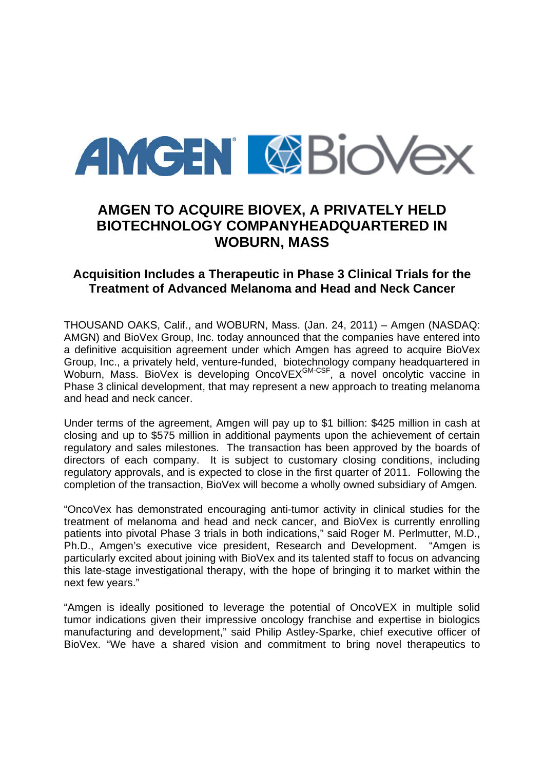

# **AMGEN TO ACQUIRE BIOVEX, A PRIVATELY HELD BIOTECHNOLOGY COMPANYHEADQUARTERED IN WOBURN, MASS**

## **Acquisition Includes a Therapeutic in Phase 3 Clinical Trials for the Treatment of Advanced Melanoma and Head and Neck Cancer**

THOUSAND OAKS, Calif., and WOBURN, Mass. (Jan. 24, 2011) – Amgen (NASDAQ: AMGN) and BioVex Group, Inc. today announced that the companies have entered into a definitive acquisition agreement under which Amgen has agreed to acquire BioVex Group, Inc., a privately held, venture-funded, biotechnology company headquartered in Woburn, Mass. BioVex is developing OncoVEXGM-CSF, a novel oncolytic vaccine in Phase 3 clinical development, that may represent a new approach to treating melanoma and head and neck cancer.

Under terms of the agreement, Amgen will pay up to \$1 billion: \$425 million in cash at closing and up to \$575 million in additional payments upon the achievement of certain regulatory and sales milestones. The transaction has been approved by the boards of directors of each company. It is subject to customary closing conditions, including regulatory approvals, and is expected to close in the first quarter of 2011. Following the completion of the transaction, BioVex will become a wholly owned subsidiary of Amgen.

"OncoVex has demonstrated encouraging anti-tumor activity in clinical studies for the treatment of melanoma and head and neck cancer, and BioVex is currently enrolling patients into pivotal Phase 3 trials in both indications," said Roger M. Perlmutter, M.D., Ph.D., Amgen's executive vice president, Research and Development. "Amgen is particularly excited about joining with BioVex and its talented staff to focus on advancing this late-stage investigational therapy, with the hope of bringing it to market within the next few years."

"Amgen is ideally positioned to leverage the potential of OncoVEX in multiple solid tumor indications given their impressive oncology franchise and expertise in biologics manufacturing and development," said Philip Astley-Sparke, chief executive officer of BioVex. "We have a shared vision and commitment to bring novel therapeutics to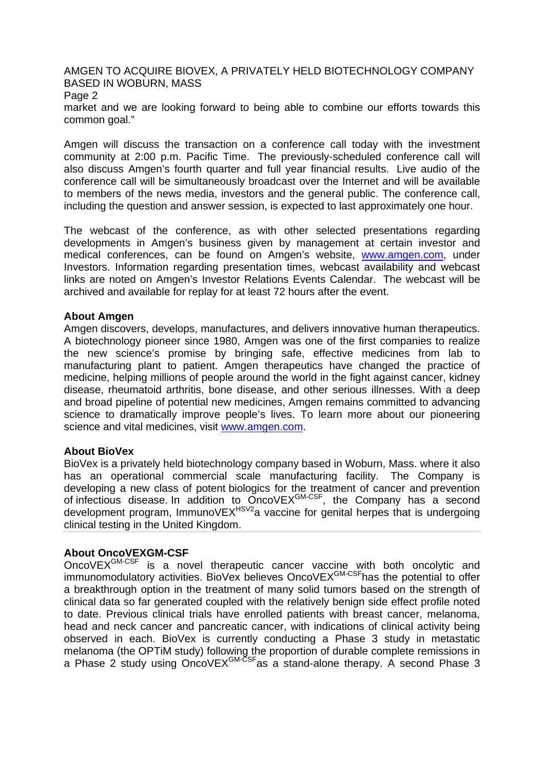#### AMGEN TO ACQUIRE BIOVEX, A PRIVATELY HELD BIOTECHNOLOGY COMPANY BASED IN WOBURN, MASS Page 2 market and we are looking forward to being able to combine our efforts towards this common goal."

Amgen will discuss the transaction on a conference call today with the investment community at 2:00 p.m. Pacific Time. The previously-scheduled conference call will also discuss Amgen's fourth quarter and full year financial results. Live audio of the conference call will be simultaneously broadcast over the Internet and will be available to members of the news media, investors and the general public. The conference call, including the question and answer session, is expected to last approximately one hour.

The webcast of the conference, as with other selected presentations regarding developments in Amgen's business given by management at certain investor and medical conferences, can be found on Amgen's website, www.amgen.com, under Investors. Information regarding presentation times, webcast availability and webcast links are noted on Amgen's Investor Relations Events Calendar. The webcast will be archived and available for replay for at least 72 hours after the event.

#### **About Amgen**

Amgen discovers, develops, manufactures, and delivers innovative human therapeutics. A biotechnology pioneer since 1980, Amgen was one of the first companies to realize the new science's promise by bringing safe, effective medicines from lab to manufacturing plant to patient. Amgen therapeutics have changed the practice of medicine, helping millions of people around the world in the fight against cancer, kidney disease, rheumatoid arthritis, bone disease, and other serious illnesses. With a deep and broad pipeline of potential new medicines, Amgen remains committed to advancing science to dramatically improve people's lives. To learn more about our pioneering science and vital medicines, visit www.amgen.com.

#### **About BioVex**

BioVex is a privately held biotechnology company based in Woburn, Mass. where it also has an operational commercial scale manufacturing facility. The Company is developing a new class of potent biologics for the treatment of cancer and prevention of infectious disease. In addition to OncoVEXGM-CSF, the Company has a second development program, ImmunoVEX $HSV2a$  vaccine for genital herpes that is undergoing clinical testing in the United Kingdom.

#### **About OncoVEXGM-CSF**

OncoVEXGM-CSF is a novel therapeutic cancer vaccine with both oncolytic and immunomodulatory activities. BioVex believes OncoVEX<sup>GM-CSF</sup>has the potential to offer a breakthrough option in the treatment of many solid tumors based on the strength of clinical data so far generated coupled with the relatively benign side effect profile noted to date. Previous clinical trials have enrolled patients with breast cancer, melanoma, head and neck cancer and pancreatic cancer, with indications of clinical activity being observed in each. BioVex is currently conducting a Phase 3 study in metastatic melanoma (the OPTiM study) following the proportion of durable complete remissions in a Phase 2 study using OncoVEX<sup>GM-CSF</sup>as a stand-alone therapy. A second Phase 3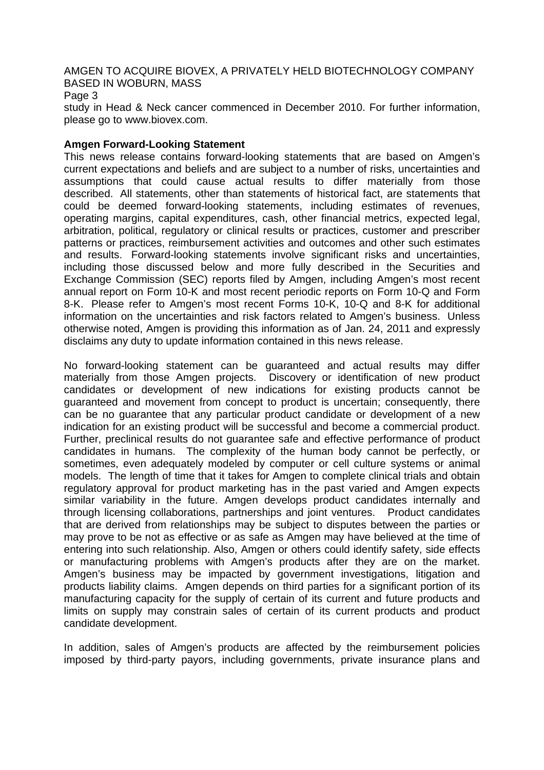AMGEN TO ACQUIRE BIOVEX, A PRIVATELY HELD BIOTECHNOLOGY COMPANY BASED IN WOBURN, MASS

### Page 3

study in Head & Neck cancer commenced in December 2010. For further information, please go to www.biovex.com.

### **Amgen Forward-Looking Statement**

This news release contains forward-looking statements that are based on Amgen's current expectations and beliefs and are subject to a number of risks, uncertainties and assumptions that could cause actual results to differ materially from those described. All statements, other than statements of historical fact, are statements that could be deemed forward-looking statements, including estimates of revenues, operating margins, capital expenditures, cash, other financial metrics, expected legal, arbitration, political, regulatory or clinical results or practices, customer and prescriber patterns or practices, reimbursement activities and outcomes and other such estimates and results. Forward-looking statements involve significant risks and uncertainties, including those discussed below and more fully described in the Securities and Exchange Commission (SEC) reports filed by Amgen, including Amgen's most recent annual report on Form 10-K and most recent periodic reports on Form 10-Q and Form 8-K. Please refer to Amgen's most recent Forms 10-K, 10-Q and 8-K for additional information on the uncertainties and risk factors related to Amgen's business. Unless otherwise noted, Amgen is providing this information as of Jan. 24, 2011 and expressly disclaims any duty to update information contained in this news release.

No forward-looking statement can be guaranteed and actual results may differ materially from those Amgen projects. Discovery or identification of new product candidates or development of new indications for existing products cannot be guaranteed and movement from concept to product is uncertain; consequently, there can be no guarantee that any particular product candidate or development of a new indication for an existing product will be successful and become a commercial product. Further, preclinical results do not guarantee safe and effective performance of product candidates in humans. The complexity of the human body cannot be perfectly, or sometimes, even adequately modeled by computer or cell culture systems or animal models. The length of time that it takes for Amgen to complete clinical trials and obtain regulatory approval for product marketing has in the past varied and Amgen expects similar variability in the future. Amgen develops product candidates internally and through licensing collaborations, partnerships and joint ventures. Product candidates that are derived from relationships may be subject to disputes between the parties or may prove to be not as effective or as safe as Amgen may have believed at the time of entering into such relationship. Also, Amgen or others could identify safety, side effects or manufacturing problems with Amgen's products after they are on the market. Amgen's business may be impacted by government investigations, litigation and products liability claims. Amgen depends on third parties for a significant portion of its manufacturing capacity for the supply of certain of its current and future products and limits on supply may constrain sales of certain of its current products and product candidate development.

In addition, sales of Amgen's products are affected by the reimbursement policies imposed by third-party payors, including governments, private insurance plans and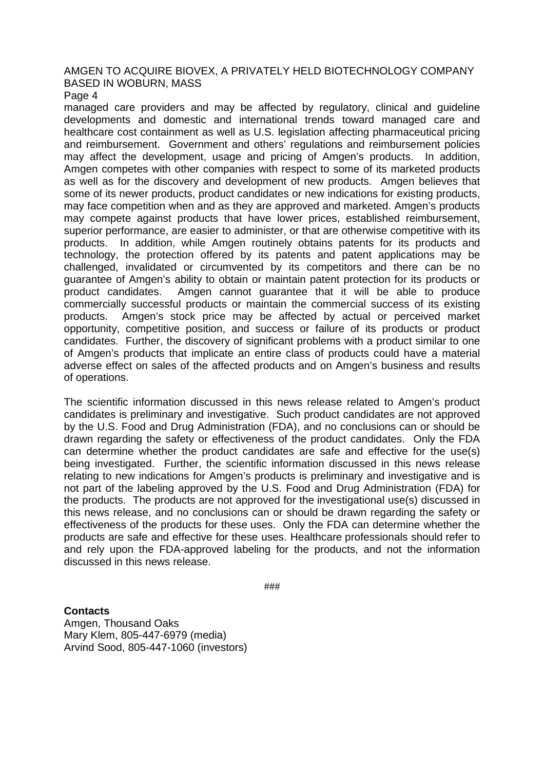### AMGEN TO ACQUIRE BIOVEX, A PRIVATELY HELD BIOTECHNOLOGY COMPANY BASED IN WOBURN, MASS

#### Page 4

managed care providers and may be affected by regulatory, clinical and guideline developments and domestic and international trends toward managed care and healthcare cost containment as well as U.S. legislation affecting pharmaceutical pricing and reimbursement. Government and others' regulations and reimbursement policies may affect the development, usage and pricing of Amgen's products. In addition, Amgen competes with other companies with respect to some of its marketed products as well as for the discovery and development of new products. Amgen believes that some of its newer products, product candidates or new indications for existing products, may face competition when and as they are approved and marketed. Amgen's products may compete against products that have lower prices, established reimbursement, superior performance, are easier to administer, or that are otherwise competitive with its products. In addition, while Amgen routinely obtains patents for its products and technology, the protection offered by its patents and patent applications may be challenged, invalidated or circumvented by its competitors and there can be no guarantee of Amgen's ability to obtain or maintain patent protection for its products or product candidates. Amgen cannot guarantee that it will be able to produce commercially successful products or maintain the commercial success of its existing products. Amgen's stock price may be affected by actual or perceived market opportunity, competitive position, and success or failure of its products or product candidates. Further, the discovery of significant problems with a product similar to one of Amgen's products that implicate an entire class of products could have a material adverse effect on sales of the affected products and on Amgen's business and results of operations.

The scientific information discussed in this news release related to Amgen's product candidates is preliminary and investigative. Such product candidates are not approved by the U.S. Food and Drug Administration (FDA), and no conclusions can or should be drawn regarding the safety or effectiveness of the product candidates. Only the FDA can determine whether the product candidates are safe and effective for the use(s) being investigated. Further, the scientific information discussed in this news release relating to new indications for Amgen's products is preliminary and investigative and is not part of the labeling approved by the U.S. Food and Drug Administration (FDA) for the products. The products are not approved for the investigational use(s) discussed in this news release, and no conclusions can or should be drawn regarding the safety or effectiveness of the products for these uses. Only the FDA can determine whether the products are safe and effective for these uses. Healthcare professionals should refer to and rely upon the FDA-approved labeling for the products, and not the information discussed in this news release.

###

**Contacts**  Amgen, Thousand Oaks Mary Klem, 805-447-6979 (media) Arvind Sood, 805-447-1060 (investors)